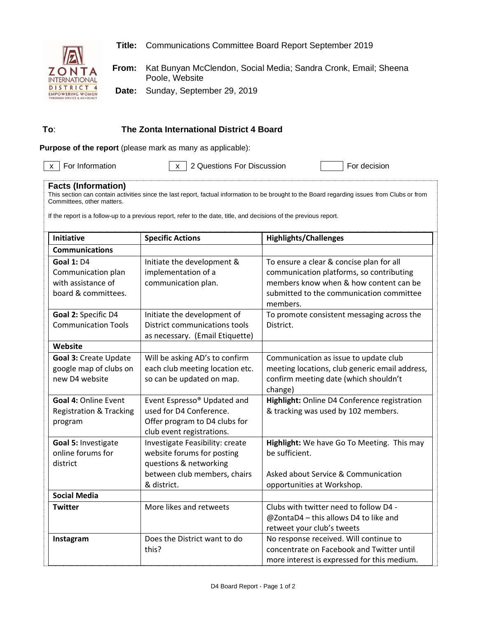

**Title:** Communications Committee Board Report September 2019

**From:** Kat Bunyan McClendon, Social Media; Sandra Cronk, Email; Sheena Poole, Website

**Date:** Sunday, September 29, 2019

## **To**: **The Zonta International District 4 Board**

**Purpose of the report** (please mark as many as applicable):

 $\overline{x}$  For Information  $\overline{x}$  2 Questions For Discussion For Terr decision

## **Facts (Information)**

This section can contain activities since the last report, factual information to be brought to the Board regarding issues from Clubs or from Committees, other matters.

If the report is a follow-up to a previous report, refer to the date, title, and decisions of the previous report.

| <b>Initiative</b>                                                                    | <b>Specific Actions</b>                                                                                                                | <b>Highlights/Challenges</b>                                                                                                                                                           |  |
|--------------------------------------------------------------------------------------|----------------------------------------------------------------------------------------------------------------------------------------|----------------------------------------------------------------------------------------------------------------------------------------------------------------------------------------|--|
| <b>Communications</b>                                                                |                                                                                                                                        |                                                                                                                                                                                        |  |
| <b>Goal 1: D4</b><br>Communication plan<br>with assistance of<br>board & committees. | Initiate the development &<br>implementation of a<br>communication plan.                                                               | To ensure a clear & concise plan for all<br>communication platforms, so contributing<br>members know when & how content can be<br>submitted to the communication committee<br>members. |  |
| Goal 2: Specific D4<br><b>Communication Tools</b>                                    | Initiate the development of<br>District communications tools<br>as necessary. (Email Etiquette)                                        | To promote consistent messaging across the<br>District.                                                                                                                                |  |
| Website                                                                              |                                                                                                                                        |                                                                                                                                                                                        |  |
| <b>Goal 3: Create Update</b><br>google map of clubs on<br>new D4 website             | Will be asking AD's to confirm<br>each club meeting location etc.<br>so can be updated on map.                                         | Communication as issue to update club<br>meeting locations, club generic email address,<br>confirm meeting date (which shouldn't<br>change)                                            |  |
| Goal 4: Online Event<br><b>Registration &amp; Tracking</b><br>program                | Event Espresso <sup>®</sup> Updated and<br>used for D4 Conference.<br>Offer program to D4 clubs for<br>club event registrations.       | Highlight: Online D4 Conference registration<br>& tracking was used by 102 members.                                                                                                    |  |
| Goal 5: Investigate<br>online forums for<br>district                                 | Investigate Feasibility: create<br>website forums for posting<br>questions & networking<br>between club members, chairs<br>& district. | Highlight: We have Go To Meeting. This may<br>be sufficient.<br>Asked about Service & Communication<br>opportunities at Workshop.                                                      |  |
| <b>Social Media</b>                                                                  |                                                                                                                                        |                                                                                                                                                                                        |  |
| <b>Twitter</b>                                                                       | More likes and retweets                                                                                                                | Clubs with twitter need to follow D4 -<br>@ZontaD4 - this allows D4 to like and<br>retweet your club's tweets                                                                          |  |
| Instagram                                                                            | Does the District want to do<br>this?                                                                                                  | No response received. Will continue to<br>concentrate on Facebook and Twitter until<br>more interest is expressed for this medium.                                                     |  |